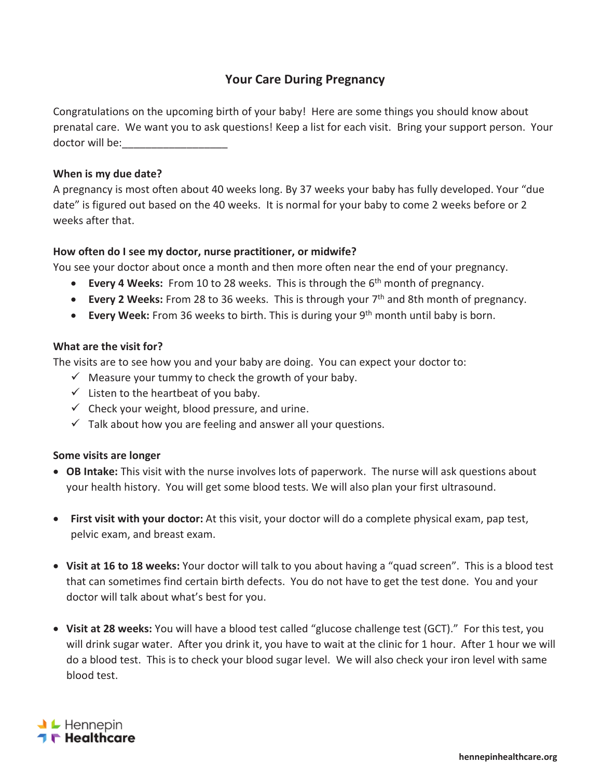# **Your Care During Pregnancy**

Congratulations on the upcoming birth of your baby! Here are some things you should know about prenatal care. We want you to ask questions! Keep a list for each visit. Bring your support person. Your doctor will be:

## **When is my due date?**

A pregnancy is most often about 40 weeks long. By 37 weeks your baby has fully developed. Your "due date" is figured out based on the 40 weeks. It is normal for your baby to come 2 weeks before or 2 weeks after that.

## **How often do I see my doctor, nurse practitioner, or midwife?**

You see your doctor about once a month and then more often near the end of your pregnancy.

- **Every 4 Weeks:** From 10 to 28 weeks. This is through the 6<sup>th</sup> month of pregnancy.
- **Every 2 Weeks:** From 28 to 36 weeks. This is through your 7<sup>th</sup> and 8th month of pregnancy.
- **Every Week:** From 36 weeks to birth. This is during your 9<sup>th</sup> month until baby is born.

### **What are the visit for?**

The visits are to see how you and your baby are doing. You can expect your doctor to:

- $\checkmark$  Measure your tummy to check the growth of your baby.
- $\checkmark$  Listen to the heartbeat of you baby.
- $\checkmark$  Check your weight, blood pressure, and urine.
- $\checkmark$  Talk about how you are feeling and answer all your questions.

### **Some visits are longer**

- **OB Intake:** This visit with the nurse involves lots of paperwork. The nurse will ask questions about your health history. You will get some blood tests. We will also plan your first ultrasound.
- **First visit with your doctor:** At this visit, your doctor will do a complete physical exam, pap test, pelvic exam, and breast exam.
- x **Visit at 16 to 18 weeks:** Your doctor will talk to you about having a "quad screen". This is a blood test that can sometimes find certain birth defects. You do not have to get the test done. You and your doctor will talk about what's best for you.
- **Visit at 28 weeks:** You will have a blood test called "glucose challenge test (GCT)." For this test, you will drink sugar water. After you drink it, you have to wait at the clinic for 1 hour. After 1 hour we will do a blood test. This is to check your blood sugar level. We will also check your iron level with same blood test.

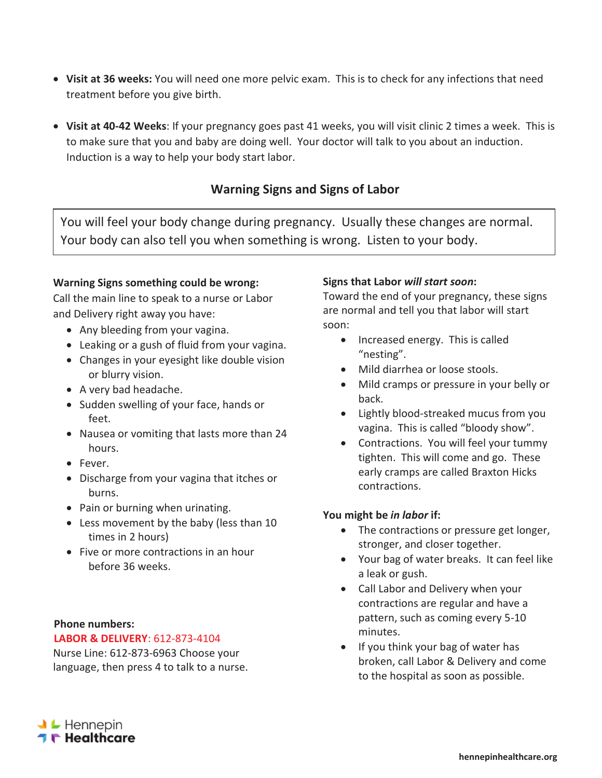- **Visit at 36 weeks:** You will need one more pelvic exam. This is to check for any infections that need treatment before you give birth.
- x **Visit at 40-42 Weeks**: If your pregnancy goes past 41 weeks, you will visit clinic 2 times a week. This is to make sure that you and baby are doing well. Your doctor will talk to you about an induction. Induction is a way to help your body start labor.

## **Warning Signs and Signs of Labor**

You will feel your body change during pregnancy. Usually these changes are normal. Your body can also tell you when something is wrong. Listen to your body.

## **Warning Signs something could be wrong:**

Call the main line to speak to a nurse or Labor and Delivery right away you have:

- Any bleeding from your vagina.
- Leaking or a gush of fluid from your vagina.
- Changes in your eyesight like double vision or blurry vision.
- A very bad headache.
- Sudden swelling of your face, hands or feet.
- Nausea or vomiting that lasts more than 24 hours.
- Fever.
- Discharge from your vagina that itches or burns.
- Pain or burning when urinating.
- Less movement by the baby (less than 10 times in 2 hours)
- Five or more contractions in an hour before 36 weeks.

### **Phone numbers:**

### **LABOR & DELIVERY**: 612-873-4104

Nurse Line: 612-873-6963 Choose your language, then press 4 to talk to a nurse.

## **Signs that Labor** *will start soon***:**

Toward the end of your pregnancy, these signs are normal and tell you that labor will start soon:

- Increased energy. This is called "nesting".
- Mild diarrhea or loose stools.
- Mild cramps or pressure in your belly or back.
- Lightly blood-streaked mucus from you vagina. This is called "bloody show".
- Contractions. You will feel your tummy tighten. This will come and go. These early cramps are called Braxton Hicks contractions.

## **You might be** *in labor* **if:**

- The contractions or pressure get longer, stronger, and closer together.
- Your bag of water breaks. It can feel like a leak or gush.
- Call Labor and Delivery when your contractions are regular and have a pattern, such as coming every 5-10 minutes.
- $\bullet$  If you think your bag of water has broken, call Labor & Delivery and come to the hospital as soon as possible.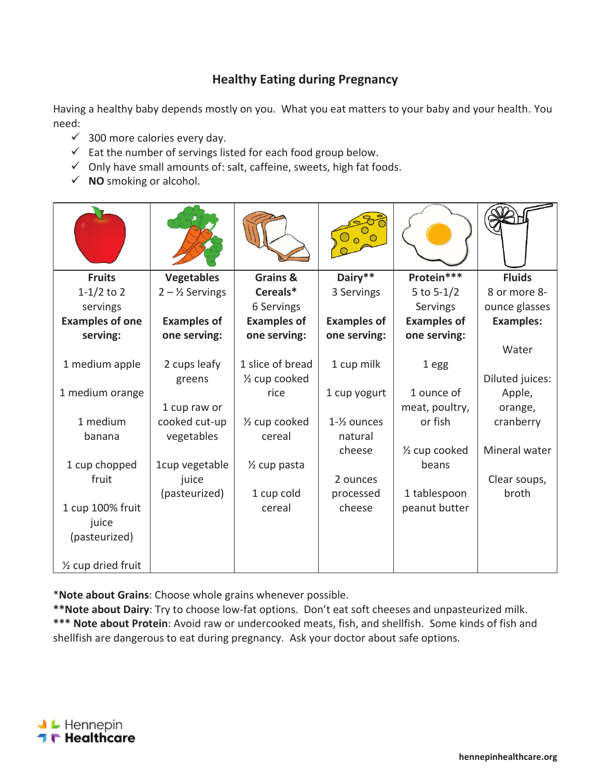# **Healthy Eating during Pregnancy**

Having a healthy baby depends mostly on you. What you eat matters to your baby and your health. You need:

- $\checkmark$  300 more calories every day.
- $\checkmark$  Eat the number of servings listed for each food group below.
- $\checkmark$  Only have small amounts of: salt, caffeine, sweets, high fat foods.
- $\checkmark$  **NO** smoking or alcohol.

| <b>Fruits</b>                 | <b>Vegetables</b>          | Grains &                   | Dairy**                  | Protein***                 | <b>Fluids</b>    |
|-------------------------------|----------------------------|----------------------------|--------------------------|----------------------------|------------------|
| $1-1/2$ to 2                  | $2 - \frac{1}{2}$ Servings | Cereals*                   | 3 Servings               | 5 to $5-1/2$               | 8 or more 8-     |
| servings                      |                            | 6 Servings                 |                          | Servings                   | ounce glasses    |
| <b>Examples of one</b>        | <b>Examples of</b>         | <b>Examples of</b>         | <b>Examples of</b>       | <b>Examples of</b>         | <b>Examples:</b> |
| serving:                      | one serving:               | one serving:               | one serving:             | one serving:               |                  |
|                               |                            |                            |                          |                            | Water            |
| 1 medium apple                | 2 cups leafy               | 1 slice of bread           | 1 cup milk               | 1 egg                      |                  |
|                               | greens                     | 1/ <sub>2</sub> cup cooked |                          |                            | Diluted juices:  |
| 1 medium orange               |                            | rice                       | 1 cup yogurt             | 1 ounce of                 | Apple,           |
|                               | 1 cup raw or               |                            |                          | meat, poultry,             | orange,          |
| 1 medium                      | cooked cut-up              | 1/ <sub>2</sub> cup cooked | $1 - \frac{1}{2}$ ounces | or fish                    | cranberry        |
| banana                        | vegetables                 | cereal                     | natural                  |                            |                  |
|                               |                            |                            | cheese                   | 1/ <sub>2</sub> cup cooked | Mineral water    |
| 1 cup chopped                 | 1cup vegetable             | 1/ <sub>2</sub> cup pasta  |                          | beans                      |                  |
| fruit                         | juice                      |                            | 2 ounces                 |                            | Clear soups,     |
|                               | (pasteurized)              | 1 cup cold                 | processed                | 1 tablespoon               | broth            |
| 1 cup 100% fruit              |                            | cereal                     | cheese                   | peanut butter              |                  |
| juice                         |                            |                            |                          |                            |                  |
| (pasteurized)                 |                            |                            |                          |                            |                  |
| $\frac{1}{2}$ cup dried fruit |                            |                            |                          |                            |                  |

\***Note about Grains**: Choose whole grains whenever possible.

**\*\*Note about Dairy**: Try to choose low-fat options. Don't eat soft cheeses and unpasteurized milk. **\*\*\* Note about Protein**: Avoid raw or undercooked meats, fish, and shellfish. Some kinds of fish and shellfish are dangerous to eat during pregnancy. Ask your doctor about safe options.

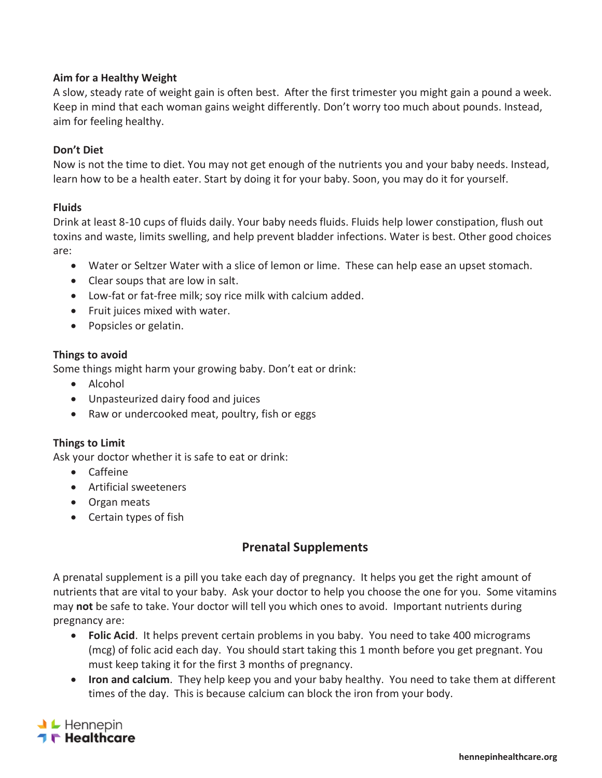## **Aim for a Healthy Weight**

A slow, steady rate of weight gain is often best. After the first trimester you might gain a pound a week. Keep in mind that each woman gains weight differently. Don't worry too much about pounds. Instead, aim for feeling healthy.

### **Don't Diet**

Now is not the time to diet. You may not get enough of the nutrients you and your baby needs. Instead, learn how to be a health eater. Start by doing it for your baby. Soon, you may do it for yourself.

### **Fluids**

Drink at least 8-10 cups of fluids daily. Your baby needs fluids. Fluids help lower constipation, flush out toxins and waste, limits swelling, and help prevent bladder infections. Water is best. Other good choices are:

- Water or Seltzer Water with a slice of lemon or lime. These can help ease an upset stomach.
- Clear soups that are low in salt.
- Low-fat or fat-free milk; soy rice milk with calcium added.
- Fruit juices mixed with water.
- Popsicles or gelatin.

### **Things to avoid**

Some things might harm your growing baby. Don't eat or drink:

- $\bullet$  Alcohol
- Unpasteurized dairy food and juices
- Raw or undercooked meat, poultry, fish or eggs

### **Things to Limit**

Ask your doctor whether it is safe to eat or drink:

- Caffeine
- **•** Artificial sweeteners
- Organ meats
- $\bullet$  Certain types of fish

## **Prenatal Supplements**

A prenatal supplement is a pill you take each day of pregnancy. It helps you get the right amount of nutrients that are vital to your baby. Ask your doctor to help you choose the one for you. Some vitamins may **not** be safe to take. Your doctor will tell you which ones to avoid. Important nutrients during pregnancy are:

- **Folic Acid**. It helps prevent certain problems in you baby. You need to take 400 micrograms (mcg) of folic acid each day. You should start taking this 1 month before you get pregnant. You must keep taking it for the first 3 months of pregnancy.
- **Iron and calcium**. They help keep you and your baby healthy. You need to take them at different times of the day. This is because calcium can block the iron from your body.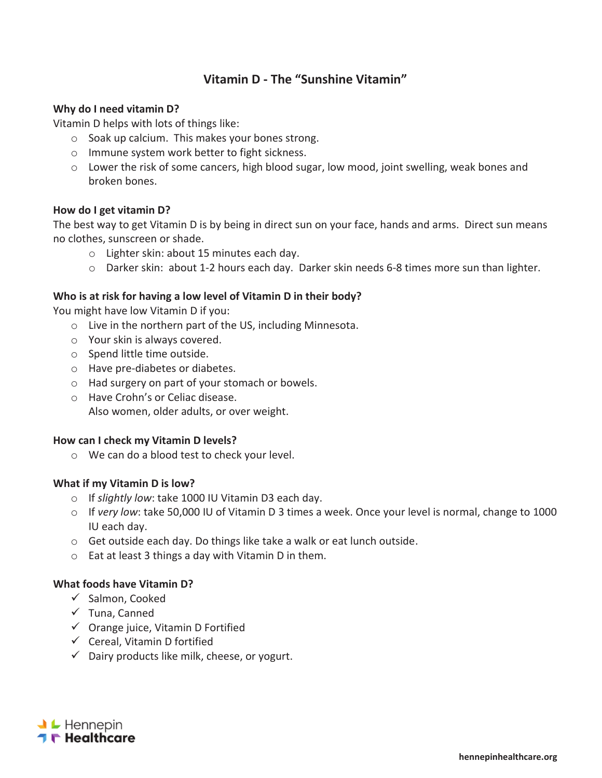## **Vitamin D - The "Sunshine Vitamin"**

### **Why do I need vitamin D?**

Vitamin D helps with lots of things like:

- o Soak up calcium. This makes your bones strong.
- o Immune system work better to fight sickness.
- o Lower the risk of some cancers, high blood sugar, low mood, joint swelling, weak bones and broken bones.

### **How do I get vitamin D?**

The best way to get Vitamin D is by being in direct sun on your face, hands and arms. Direct sun means no clothes, sunscreen or shade.

- o Lighter skin: about 15 minutes each day.
- $\circ$  Darker skin: about 1-2 hours each day. Darker skin needs 6-8 times more sun than lighter.

### **Who is at risk for having a low level of Vitamin D in their body?**

You might have low Vitamin D if you:

- o Live in the northern part of the US, including Minnesota.
- o Your skin is always covered.
- o Spend little time outside.
- o Have pre-diabetes or diabetes.
- o Had surgery on part of your stomach or bowels.
- o Have Crohn's or Celiac disease. Also women, older adults, or over weight.

#### **How can I check my Vitamin D levels?**

o We can do a blood test to check your level.

### **What if my Vitamin D is low?**

- o If *slightly low*: take 1000 IU Vitamin D3 each day.
- o If *very low*: take 50,000 IU of Vitamin D 3 times a week. Once your level is normal, change to 1000 IU each day.
- $\circ$  Get outside each day. Do things like take a walk or eat lunch outside.
- o Eat at least 3 things a day with Vitamin D in them.

### **What foods have Vitamin D?**

- $\checkmark$  Salmon, Cooked
- $\checkmark$  Tuna, Canned
- $\checkmark$  Orange juice, Vitamin D Fortified
- $\checkmark$  Cereal, Vitamin D fortified
- $\checkmark$  Dairy products like milk, cheese, or yogurt.

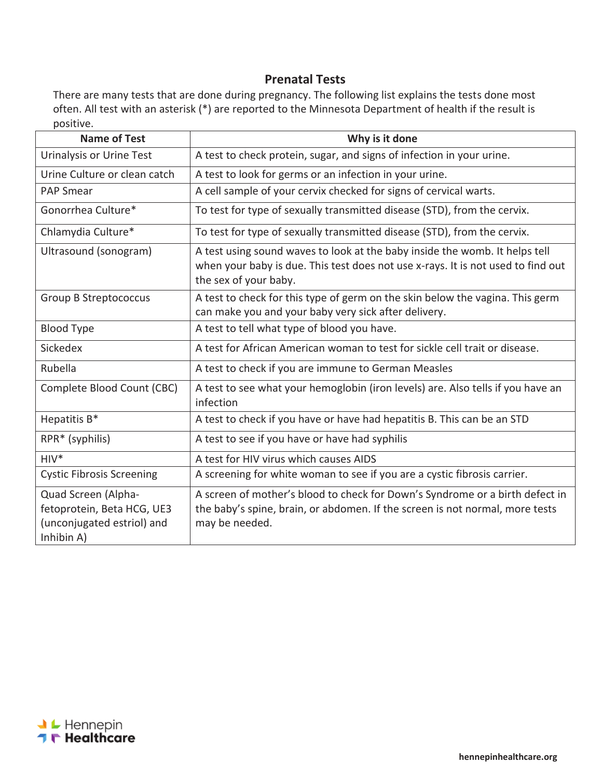## **Prenatal Tests**

There are many tests that are done during pregnancy. The following list explains the tests done most often. All test with an asterisk (\*) are reported to the Minnesota Department of health if the result is positive.

| <b>Name of Test</b>                                                                           | Why is it done                                                                                                                                                                           |  |  |  |
|-----------------------------------------------------------------------------------------------|------------------------------------------------------------------------------------------------------------------------------------------------------------------------------------------|--|--|--|
| Urinalysis or Urine Test                                                                      | A test to check protein, sugar, and signs of infection in your urine.                                                                                                                    |  |  |  |
| Urine Culture or clean catch                                                                  | A test to look for germs or an infection in your urine.                                                                                                                                  |  |  |  |
| <b>PAP Smear</b>                                                                              | A cell sample of your cervix checked for signs of cervical warts.                                                                                                                        |  |  |  |
| Gonorrhea Culture*                                                                            | To test for type of sexually transmitted disease (STD), from the cervix.                                                                                                                 |  |  |  |
| Chlamydia Culture*                                                                            | To test for type of sexually transmitted disease (STD), from the cervix.                                                                                                                 |  |  |  |
| Ultrasound (sonogram)                                                                         | A test using sound waves to look at the baby inside the womb. It helps tell<br>when your baby is due. This test does not use x-rays. It is not used to find out<br>the sex of your baby. |  |  |  |
| <b>Group B Streptococcus</b>                                                                  | A test to check for this type of germ on the skin below the vagina. This germ<br>can make you and your baby very sick after delivery.                                                    |  |  |  |
| <b>Blood Type</b>                                                                             | A test to tell what type of blood you have.                                                                                                                                              |  |  |  |
| Sickedex                                                                                      | A test for African American woman to test for sickle cell trait or disease.                                                                                                              |  |  |  |
| Rubella                                                                                       | A test to check if you are immune to German Measles                                                                                                                                      |  |  |  |
| Complete Blood Count (CBC)                                                                    | A test to see what your hemoglobin (iron levels) are. Also tells if you have an<br>infection                                                                                             |  |  |  |
| Hepatitis B*                                                                                  | A test to check if you have or have had hepatitis B. This can be an STD                                                                                                                  |  |  |  |
| RPR* (syphilis)                                                                               | A test to see if you have or have had syphilis                                                                                                                                           |  |  |  |
| $HIV*$                                                                                        | A test for HIV virus which causes AIDS                                                                                                                                                   |  |  |  |
| <b>Cystic Fibrosis Screening</b>                                                              | A screening for white woman to see if you are a cystic fibrosis carrier.                                                                                                                 |  |  |  |
| Quad Screen (Alpha-<br>fetoprotein, Beta HCG, UE3<br>(unconjugated estriol) and<br>Inhibin A) | A screen of mother's blood to check for Down's Syndrome or a birth defect in<br>the baby's spine, brain, or abdomen. If the screen is not normal, more tests<br>may be needed.           |  |  |  |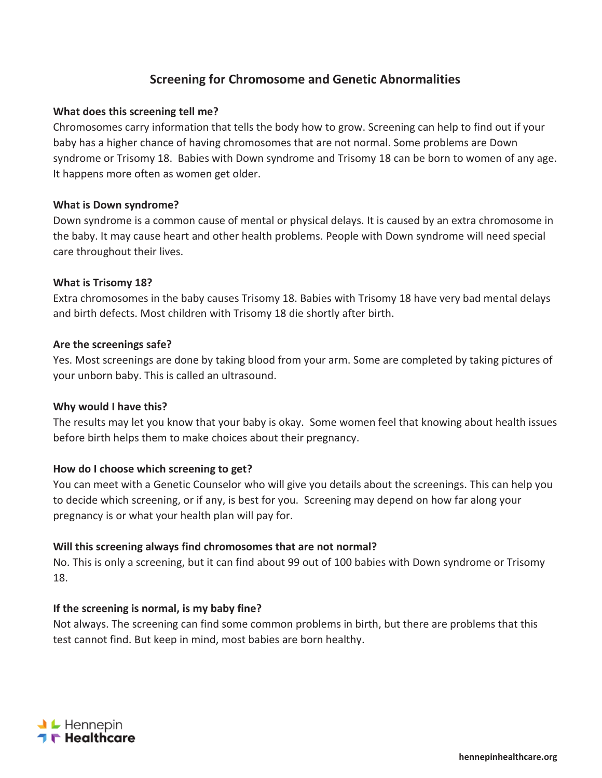## **Screening for Chromosome and Genetic Abnormalities**

### **What does this screening tell me?**

Chromosomes carry information that tells the body how to grow. Screening can help to find out if your baby has a higher chance of having chromosomes that are not normal. Some problems are Down syndrome or Trisomy 18. Babies with Down syndrome and Trisomy 18 can be born to women of any age. It happens more often as women get older.

#### **What is Down syndrome?**

Down syndrome is a common cause of mental or physical delays. It is caused by an extra chromosome in the baby. It may cause heart and other health problems. People with Down syndrome will need special care throughout their lives.

#### **What is Trisomy 18?**

Extra chromosomes in the baby causes Trisomy 18. Babies with Trisomy 18 have very bad mental delays and birth defects. Most children with Trisomy 18 die shortly after birth.

#### **Are the screenings safe?**

Yes. Most screenings are done by taking blood from your arm. Some are completed by taking pictures of your unborn baby. This is called an ultrasound.

#### **Why would I have this?**

The results may let you know that your baby is okay. Some women feel that knowing about health issues before birth helps them to make choices about their pregnancy.

### **How do I choose which screening to get?**

You can meet with a Genetic Counselor who will give you details about the screenings. This can help you to decide which screening, or if any, is best for you. Screening may depend on how far along your pregnancy is or what your health plan will pay for.

### **Will this screening always find chromosomes that are not normal?**

No. This is only a screening, but it can find about 99 out of 100 babies with Down syndrome or Trisomy 18.

### **If the screening is normal, is my baby fine?**

Not always. The screening can find some common problems in birth, but there are problems that this test cannot find. But keep in mind, most babies are born healthy.

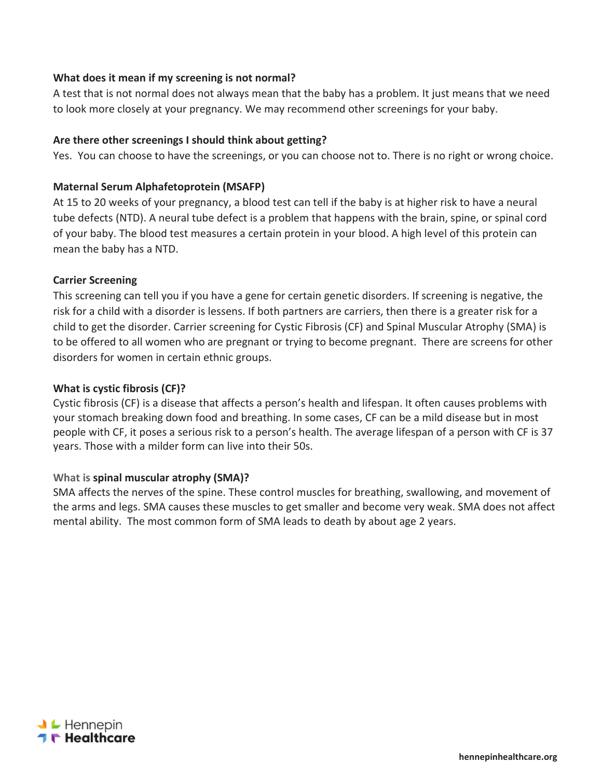## **What does it mean if my screening is not normal?**

A test that is not normal does not always mean that the baby has a problem. It just means that we need to look more closely at your pregnancy. We may recommend other screenings for your baby.

### **Are there other screenings I should think about getting?**

Yes. You can choose to have the screenings, or you can choose not to. There is no right or wrong choice.

### **Maternal Serum Alphafetoprotein (MSAFP)**

At 15 to 20 weeks of your pregnancy, a blood test can tell if the baby is at higher risk to have a neural tube defects (NTD). A neural tube defect is a problem that happens with the brain, spine, or spinal cord of your baby. The blood test measures a certain protein in your blood. A high level of this protein can mean the baby has a NTD.

### **Carrier Screening**

This screening can tell you if you have a gene for certain genetic disorders. If screening is negative, the risk for a child with a disorder is lessens. If both partners are carriers, then there is a greater risk for a child to get the disorder. Carrier screening for Cystic Fibrosis (CF) and Spinal Muscular Atrophy (SMA) is to be offered to all women who are pregnant or trying to become pregnant. There are screens for other disorders for women in certain ethnic groups.

#### **What is cystic fibrosis (CF)?**

Cystic fibrosis (CF) is a disease that affects a person's health and lifespan. It often causes problems with your stomach breaking down food and breathing. In some cases, CF can be a mild disease but in most people with CF, it poses a serious risk to a person's health. The average lifespan of a person with CF is 37 years. Those with a milder form can live into their 50s.

### **What is spinal muscular atrophy (SMA)?**

SMA affects the nerves of the spine. These control muscles for breathing, swallowing, and movement of the arms and legs. SMA causes these muscles to get smaller and become very weak. SMA does not affect mental ability. The most common form of SMA leads to death by about age 2 years.

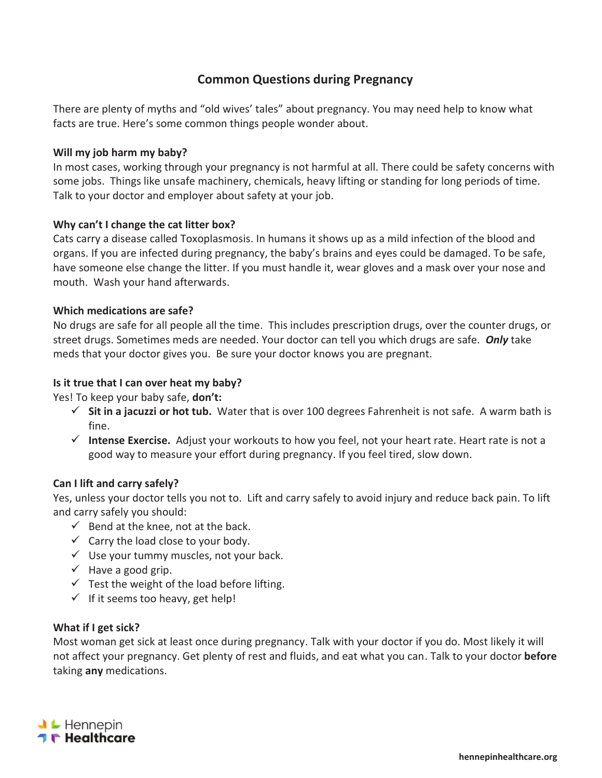# **Common Questions during Pregnancy**

There are plenty of myths and "old wives' tales" about pregnancy. You may need help to know what facts are true. Here's some common things people wonder about.

## **Will my job harm my baby?**

In most cases, working through your pregnancy is not harmful at all. There could be safety concerns with some jobs. Things like unsafe machinery, chemicals, heavy lifting or standing for long periods of time. Talk to your doctor and employer about safety at your job.

## **Why can't I change the cat litter box?**

Cats carry a disease called Toxoplasmosis. In humans it shows up as a mild infection of the blood and organs. If you are infected during pregnancy, the baby's brains and eyes could be damaged. To be safe, have someone else change the litter. If you must handle it, wear gloves and a mask over your nose and mouth. Wash your hand afterwards.

### **Which medications are safe?**

No drugs are safe for all people all the time. This includes prescription drugs, over the counter drugs, or street drugs. Sometimes meds are needed. Your doctor can tell you which drugs are safe. *Only* take meds that your doctor gives you. Be sure your doctor knows you are pregnant.

## **Is it true that I can over heat my baby?**

Yes! To keep your baby safe, **don't:**

- $\checkmark$  Sit in a jacuzzi or hot tub. Water that is over 100 degrees Fahrenheit is not safe. A warm bath is fine.
- 9 **Intense Exercise.** Adjust your workouts to how you feel, not your heart rate. Heart rate is not a good way to measure your effort during pregnancy. If you feel tired, slow down.

### **Can I lift and carry safely?**

Yes, unless your doctor tells you not to. Lift and carry safely to avoid injury and reduce back pain. To lift and carry safely you should:

- $\checkmark$  Bend at the knee, not at the back.
- $\checkmark$  Carry the load close to your body.
- $\checkmark$  Use your tummy muscles, not your back.
- $\checkmark$  Have a good grip.
- $\checkmark$  Test the weight of the load before lifting.
- $\checkmark$  If it seems too heavy, get help!

### **What if I get sick?**

Most woman get sick at least once during pregnancy. Talk with your doctor if you do. Most likely it will not affect your pregnancy. Get plenty of rest and fluids, and eat what you can. Talk to your doctor **before** taking **any** medications.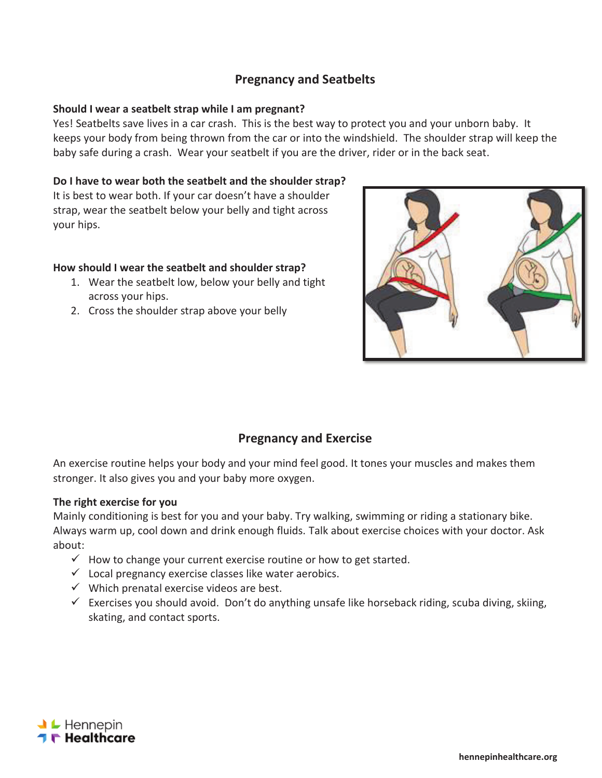## **Pregnancy and Seatbelts**

### **Should I wear a seatbelt strap while I am pregnant?**

Yes! Seatbelts save lives in a car crash. This is the best way to protect you and your unborn baby. It keeps your body from being thrown from the car or into the windshield. The shoulder strap will keep the baby safe during a crash. Wear your seatbelt if you are the driver, rider or in the back seat.

## **Do I have to wear both the seatbelt and the shoulder strap?**

It is best to wear both. If your car doesn't have a shoulder strap, wear the seatbelt below your belly and tight across your hips.

## **How should I wear the seatbelt and shoulder strap?**

- 1. Wear the seatbelt low, below your belly and tight across your hips.
- 2. Cross the shoulder strap above your belly



# **Pregnancy and Exercise**

An exercise routine helps your body and your mind feel good. It tones your muscles and makes them stronger. It also gives you and your baby more oxygen.

### **The right exercise for you**

Mainly conditioning is best for you and your baby. Try walking, swimming or riding a stationary bike. Always warm up, cool down and drink enough fluids. Talk about exercise choices with your doctor. Ask about:

- $\checkmark$  How to change your current exercise routine or how to get started.
- $\checkmark$  Local pregnancy exercise classes like water aerobics.
- $\checkmark$  Which prenatal exercise videos are best.
- $\checkmark$  Exercises you should avoid. Don't do anything unsafe like horseback riding, scuba diving, skiing, skating, and contact sports.

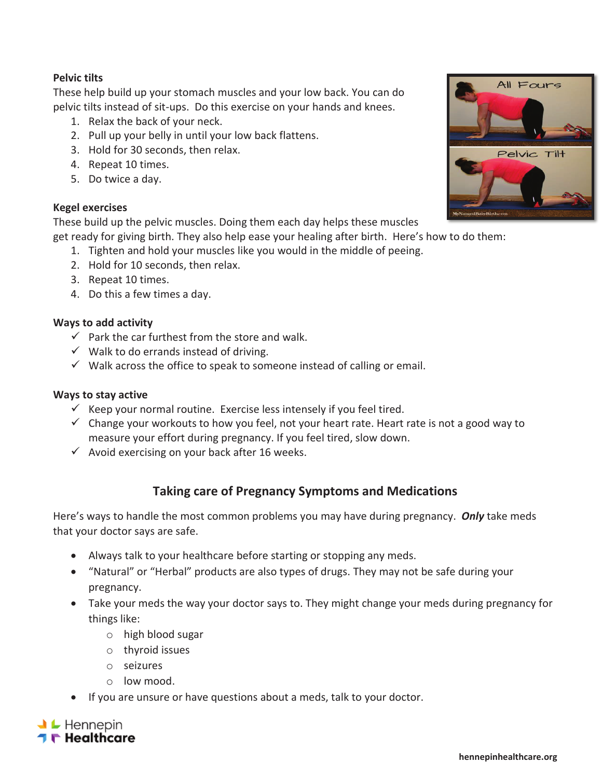## **Pelvic tilts**

These help build up your stomach muscles and your low back. You can do pelvic tilts instead of sit-ups. Do this exercise on your hands and knees.

- 1. Relax the back of your neck.
- 2. Pull up your belly in until your low back flattens.
- 3. Hold for 30 seconds, then relax.
- 4. Repeat 10 times.
- 5. Do twice a day.

### **Kegel exercises**

These build up the pelvic muscles. Doing them each day helps these muscles

get ready for giving birth. They also help ease your healing after birth. Here's how to do them:

- 1. Tighten and hold your muscles like you would in the middle of peeing.
- 2. Hold for 10 seconds, then relax.
- 3. Repeat 10 times.
- 4. Do this a few times a day.

### **Ways to add activity**

- $\checkmark$  Park the car furthest from the store and walk.
- $\checkmark$  Walk to do errands instead of driving.
- $\checkmark$  Walk across the office to speak to someone instead of calling or email.

### **Ways to stay active**

- $\checkmark$  Keep your normal routine. Exercise less intensely if you feel tired.
- $\checkmark$  Change your workouts to how you feel, not your heart rate. Heart rate is not a good way to measure your effort during pregnancy. If you feel tired, slow down.
- $\checkmark$  Avoid exercising on your back after 16 weeks.

## **Taking care of Pregnancy Symptoms and Medications**

Here's ways to handle the most common problems you may have during pregnancy. *Only* take meds that your doctor says are safe.

- Always talk to your healthcare before starting or stopping any meds.
- "Natural" or "Herbal" products are also types of drugs. They may not be safe during your pregnancy.
- Take your meds the way your doctor says to. They might change your meds during pregnancy for things like:
	- o high blood sugar
	- o thyroid issues
	- o seizures
	- o low mood.
- If you are unsure or have questions about a meds, talk to your doctor.



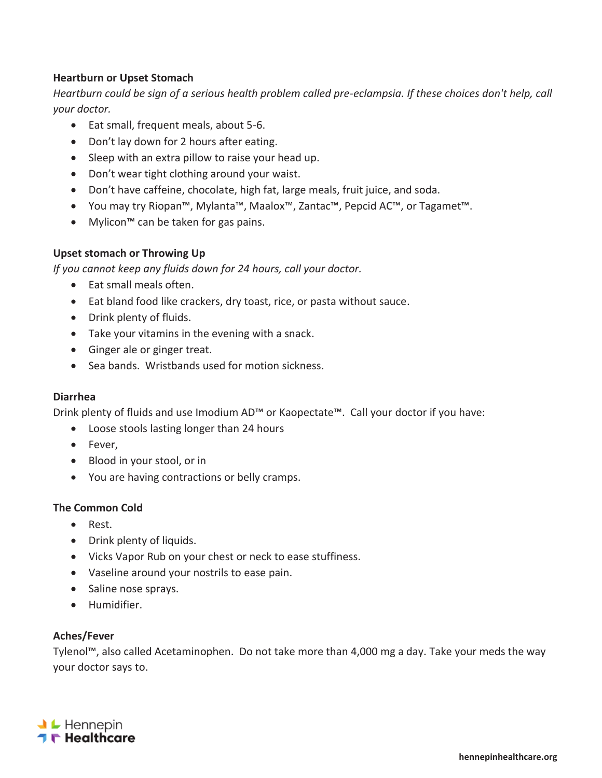## **Heartburn or Upset Stomach**

*Heartburn could be sign of a serious health problem called pre-eclampsia. If these choices don't help, call your doctor.* 

- Eat small, frequent meals, about 5-6.
- Don't lay down for 2 hours after eating.
- $\bullet$  Sleep with an extra pillow to raise your head up.
- Don't wear tight clothing around your waist.
- Don't have caffeine, chocolate, high fat, large meals, fruit juice, and soda.
- You may try Riopan™, Mylanta™, Maalox™, Zantac™, Pepcid AC™, or Tagamet™.
- Mylicon™ can be taken for gas pains.

## **Upset stomach or Throwing Up**

*If you cannot keep any fluids down for 24 hours, call your doctor.* 

- Eat small meals often.
- Eat bland food like crackers, dry toast, rice, or pasta without sauce.
- Drink plenty of fluids.
- Take your vitamins in the evening with a snack.
- Ginger ale or ginger treat.
- Sea bands. Wristbands used for motion sickness.

### **Diarrhea**

Drink plenty of fluids and use Imodium AD™ or Kaopectate™. Call your doctor if you have:

- Loose stools lasting longer than 24 hours
- Fever,
- Blood in your stool, or in
- You are having contractions or belly cramps.

### **The Common Cold**

- Rest.
- Drink plenty of liquids.
- Vicks Vapor Rub on your chest or neck to ease stuffiness.
- Vaseline around your nostrils to ease pain.
- Saline nose sprays.
- **•** Humidifier.

### **Aches/Fever**

Tylenol™, also called Acetaminophen. Do not take more than 4,000 mg a day. Take your meds the way your doctor says to.